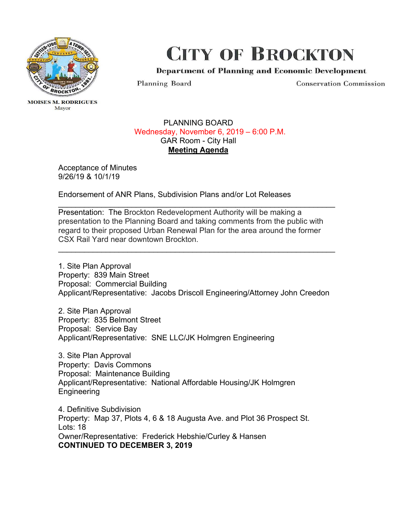

Mayor

## CITY OF BROCKTON

Department of Planning and Economic Development

Planning Board

Conservation Commission

## PLANNING BOARD Wednesday, November 6, 2019 – 6:00 P.M. GAR Room - City Hall **Meeting Agenda**

 Acceptance of Minutes 9/26/19 & 10/1/19

Endorsement of ANR Plans, Subdivision Plans and/or Lot Releases

Presentation: The Brockton Redevelopment Authority will be making a presentation to the Planning Board and taking comments from the public with regard to their proposed Urban Renewal Plan for the area around the former CSX Rail Yard near downtown Brockton.

 $\overline{\phantom{a}}$  , and the contribution of the contribution of the contribution of the contribution of the contribution of the contribution of the contribution of the contribution of the contribution of the contribution of the

 $\overline{\phantom{a}}$  , and the contribution of the contribution of the contribution of the contribution of the contribution of the contribution of the contribution of the contribution of the contribution of the contribution of the

1. Site Plan Approval Property: 839 Main Street Proposal: Commercial Building Applicant/Representative: Jacobs Driscoll Engineering/Attorney John Creedon

2. Site Plan Approval Property: 835 Belmont Street Proposal: Service Bay Applicant/Representative: SNE LLC/JK Holmgren Engineering

3. Site Plan Approval Property: Davis Commons Proposal: Maintenance Building Applicant/Representative: National Affordable Housing/JK Holmgren Engineering

 Owner/Representative: Frederick Hebshie/Curley & Hansen 4. Definitive Subdivision Property: Map 37, Plots 4, 6 & 18 Augusta Ave. and Plot 36 Prospect St. Lots: 18 **CONTINUED TO DECEMBER 3, 2019**